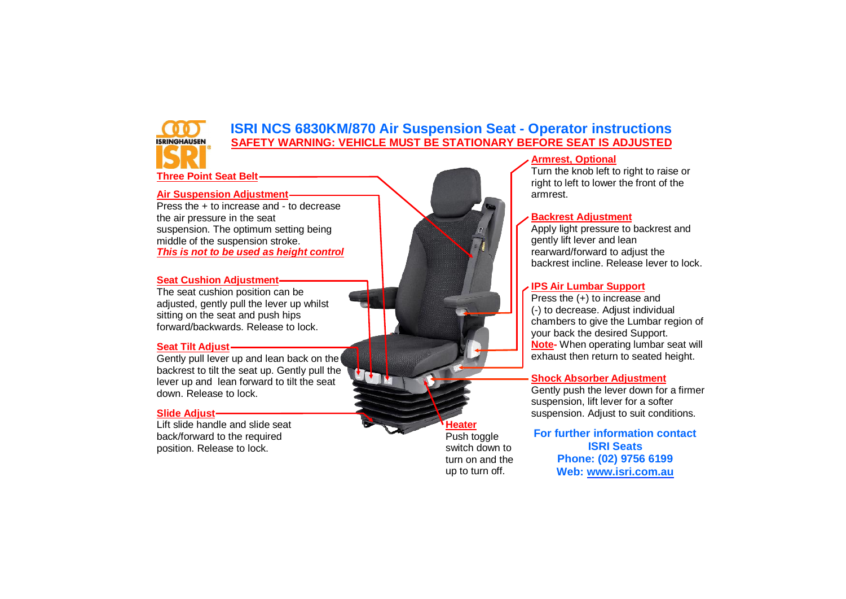# **ISRI NCS 6830KM/870 Air Suspension Seat - Operator instructions SAFETY WARNING: VEHICLE MUST BE STATIONARY BEFORE SEAT IS ADJUSTED**

**Three Point Seat Belt**

**ISRINGHAUSEN** 

# **Air Suspension Adjustment**

Press the + to increase and - to decrease the air pressure in the seat suspension. The optimum setting being middle of the suspension stroke. *This is not to be used as height control*

#### **Seat Cushion Adjustment**

The seat cushion position can be adjusted, gently pull the lever up whilst sitting on the seat and push hips forward/backwards. Release to lock.

### **Seat Tilt Adjust**

Gently pull lever up and lean back on the backrest to tilt the seat up. Gently pull the lever up and lean forward to tilt the seat down. Release to lock.

### **Slide Adjust**

Lift slide handle and slide seat back/forward to the required position. Release to lock.



Turn the knob left to right to raise or right to left to lower the front of the armrest.

### **Backrest Adjustment**

Apply light pressure to backrest and gently lift lever and lean rearward/forward to adjust the backrest incline. Release lever to lock.

## **IPS Air Lumbar Support**

Press the (+) to increase and (-) to decrease. Adjust individual chambers to give the Lumbar region of your back the desired Support. **Note-** When operating lumbar seat will exhaust then return to seated height.

### **Shock Absorber Adjustment**

Gently push the lever down for a firmer suspension, lift lever for a softer suspension. Adjust to suit conditions.

**For further information contact ISRI Seats Phone: (02) 9756 6199 Web: [www.isri.com.au](http://www.isri.com.au/)**

**Heater** Push toggle switch down to turn on and the up to turn off.